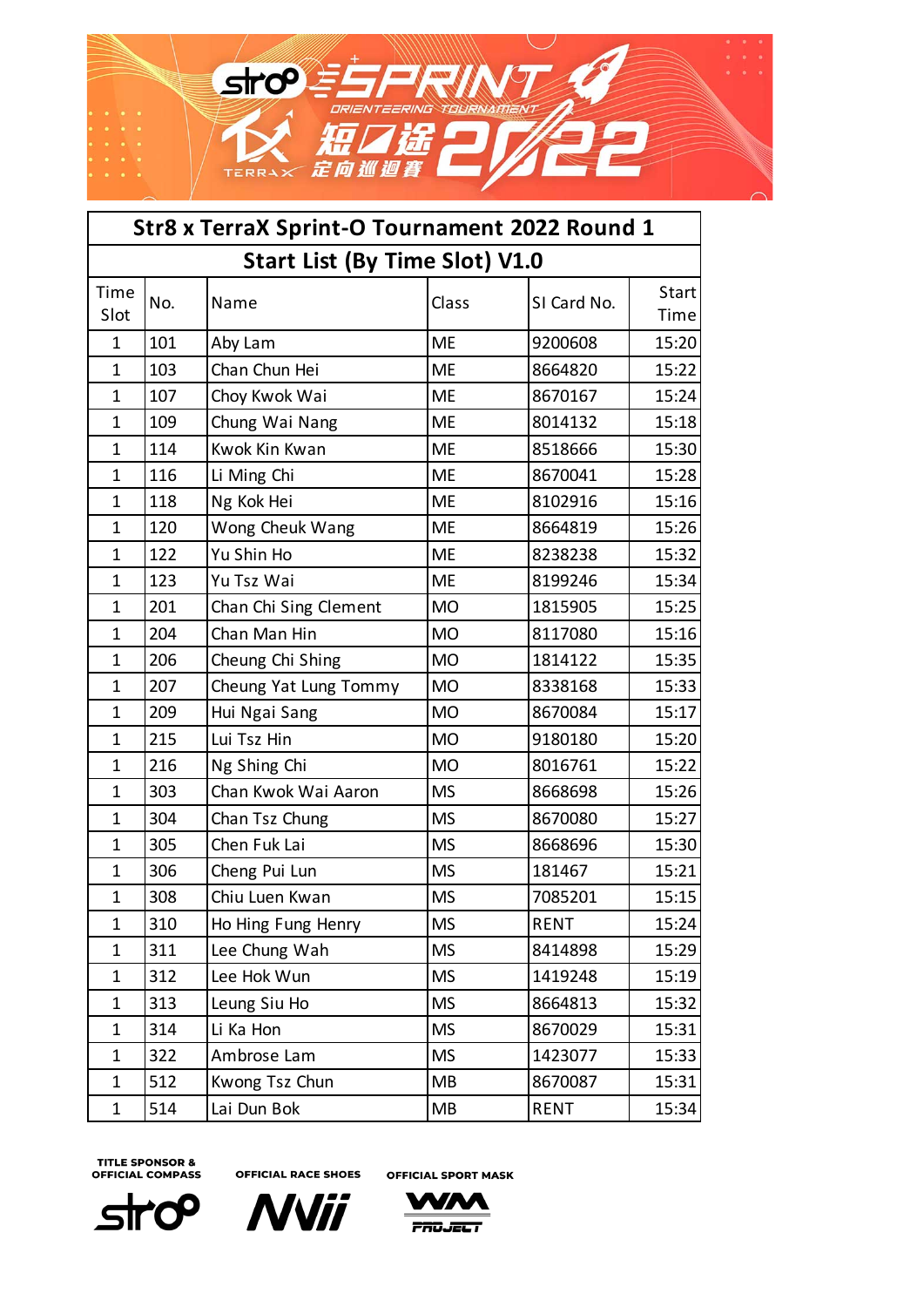

| Str8 x TerraX Sprint-O Tournament 2022 Round 1 |                                       |                       |           |             |                |  |  |
|------------------------------------------------|---------------------------------------|-----------------------|-----------|-------------|----------------|--|--|
|                                                | <b>Start List (By Time Slot) V1.0</b> |                       |           |             |                |  |  |
| Time<br>Slot                                   | No.                                   | Name                  | Class     | SI Card No. | Start <br>Time |  |  |
| 1                                              | 101                                   | Aby Lam               | <b>ME</b> | 9200608     | 15:20          |  |  |
| 1                                              | 103                                   | Chan Chun Hei         | <b>ME</b> | 8664820     | 15:22          |  |  |
| 1                                              | 107                                   | Choy Kwok Wai         | <b>ME</b> | 8670167     | 15:24          |  |  |
| 1                                              | 109                                   | Chung Wai Nang        | <b>ME</b> | 8014132     | 15:18          |  |  |
| 1                                              | 114                                   | Kwok Kin Kwan         | <b>ME</b> | 8518666     | 15:30          |  |  |
| $\mathbf 1$                                    | 116                                   | Li Ming Chi           | <b>ME</b> | 8670041     | 15:28          |  |  |
| $\mathbf 1$                                    | 118                                   | Ng Kok Hei            | <b>ME</b> | 8102916     | 15:16          |  |  |
| 1                                              | 120                                   | Wong Cheuk Wang       | <b>ME</b> | 8664819     | 15:26          |  |  |
| 1                                              | 122                                   | Yu Shin Ho            | <b>ME</b> | 8238238     | 15:32          |  |  |
| 1                                              | 123                                   | Yu Tsz Wai            | <b>ME</b> | 8199246     | 15:34          |  |  |
| 1                                              | 201                                   | Chan Chi Sing Clement | <b>MO</b> | 1815905     | 15:25          |  |  |
| $\mathbf 1$                                    | 204                                   | Chan Man Hin          | <b>MO</b> | 8117080     | 15:16          |  |  |
| 1                                              | 206                                   | Cheung Chi Shing      | <b>MO</b> | 1814122     | 15:35          |  |  |
| 1                                              | 207                                   | Cheung Yat Lung Tommy | <b>MO</b> | 8338168     | 15:33          |  |  |
| 1                                              | 209                                   | Hui Ngai Sang         | <b>MO</b> | 8670084     | 15:17          |  |  |
| 1                                              | 215                                   | Lui Tsz Hin           | <b>MO</b> | 9180180     | 15:20          |  |  |
| 1                                              | 216                                   | Ng Shing Chi          | <b>MO</b> | 8016761     | 15:22          |  |  |
| $\mathbf 1$                                    | 303                                   | Chan Kwok Wai Aaron   | <b>MS</b> | 8668698     | 15:26          |  |  |
| 1                                              | 304                                   | Chan Tsz Chung        | <b>MS</b> | 8670080     | 15:27          |  |  |
| 1                                              | 305                                   | Chen Fuk Lai          | <b>MS</b> | 8668696     | 15:30          |  |  |
| 1                                              | 306                                   | Cheng Pui Lun         | <b>MS</b> | 181467      | 15:21          |  |  |
| 1                                              | 308                                   | Chiu Luen Kwan        | <b>MS</b> | 7085201     | 15:15          |  |  |
| 1                                              | 310                                   | Ho Hing Fung Henry    | <b>MS</b> | <b>RENT</b> | 15:24          |  |  |
| 1                                              | 311                                   | Lee Chung Wah         | <b>MS</b> | 8414898     | 15:29          |  |  |
| 1                                              | 312                                   | Lee Hok Wun           | <b>MS</b> | 1419248     | 15:19          |  |  |
| 1                                              | 313                                   | Leung Siu Ho          | <b>MS</b> | 8664813     | 15:32          |  |  |
| 1                                              | 314                                   | Li Ka Hon             | <b>MS</b> | 8670029     | 15:31          |  |  |
| $\mathbf 1$                                    | 322                                   | Ambrose Lam           | <b>MS</b> | 1423077     | 15:33          |  |  |
| $\mathbf 1$                                    | 512                                   | Kwong Tsz Chun        | MB        | 8670087     | 15:31          |  |  |
| $\mathbf 1$                                    | 514                                   | Lai Dun Bok           | MB        | <b>RENT</b> | 15:34          |  |  |

**OFFICIAL RACE SHOES** 

**OFFICIAL SPORT MASK** 





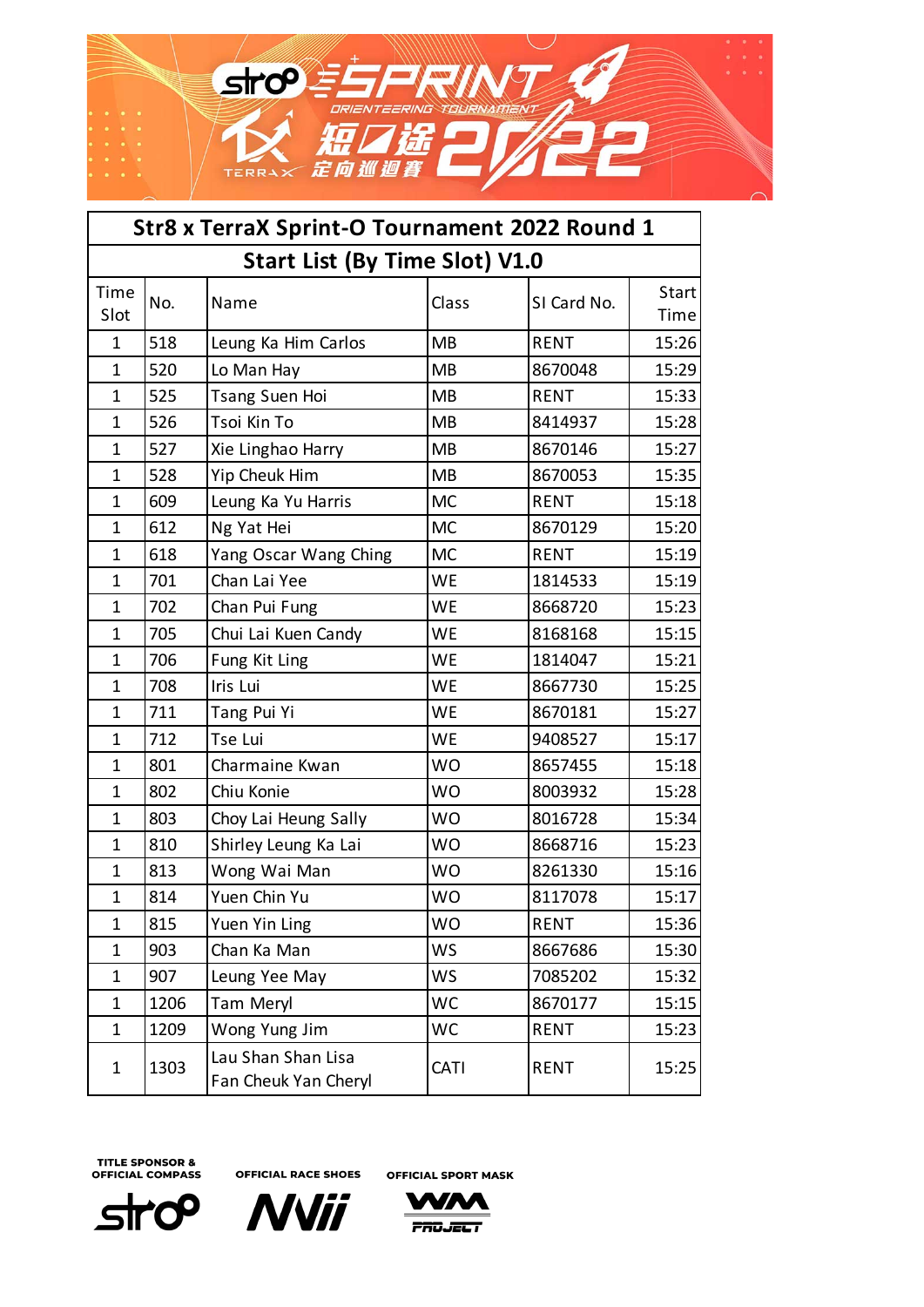

| Str8 x TerraX Sprint-O Tournament 2022 Round 1 |                                       |                                            |           |             |               |  |  |
|------------------------------------------------|---------------------------------------|--------------------------------------------|-----------|-------------|---------------|--|--|
|                                                | <b>Start List (By Time Slot) V1.0</b> |                                            |           |             |               |  |  |
| Time<br>Slot                                   | No.                                   | Name                                       | Class     | SI Card No. | Start<br>Time |  |  |
| 1                                              | 518                                   | Leung Ka Him Carlos                        | <b>MB</b> | <b>RENT</b> | 15:26         |  |  |
| 1                                              | 520                                   | Lo Man Hay                                 | <b>MB</b> | 8670048     | 15:29         |  |  |
| 1                                              | 525                                   | <b>Tsang Suen Hoi</b>                      | <b>MB</b> | <b>RENT</b> | 15:33         |  |  |
| $\mathbf 1$                                    | 526                                   | Tsoi Kin To                                | <b>MB</b> | 8414937     | 15:28         |  |  |
| $\mathbf 1$                                    | 527                                   | Xie Linghao Harry                          | <b>MB</b> | 8670146     | 15:27         |  |  |
| $\mathbf 1$                                    | 528                                   | Yip Cheuk Him                              | <b>MB</b> | 8670053     | 15:35         |  |  |
| $\mathbf{1}$                                   | 609                                   | Leung Ka Yu Harris                         | <b>MC</b> | <b>RENT</b> | 15:18         |  |  |
| 1                                              | 612                                   | Ng Yat Hei                                 | <b>MC</b> | 8670129     | 15:20         |  |  |
| 1                                              | 618                                   | Yang Oscar Wang Ching                      | <b>MC</b> | <b>RENT</b> | 15:19         |  |  |
| $\mathbf 1$                                    | 701                                   | Chan Lai Yee                               | <b>WE</b> | 1814533     | 15:19         |  |  |
| 1                                              | 702                                   | Chan Pui Fung                              | <b>WE</b> | 8668720     | 15:23         |  |  |
| 1                                              | 705                                   | Chui Lai Kuen Candy                        | WE        | 8168168     | 15:15         |  |  |
| $\mathbf{1}$                                   | 706                                   | Fung Kit Ling                              | <b>WE</b> | 1814047     | 15:21         |  |  |
| 1                                              | 708                                   | Iris Lui                                   | <b>WE</b> | 8667730     | 15:25         |  |  |
| 1                                              | 711                                   | Tang Pui Yi                                | WE        | 8670181     | 15:27         |  |  |
| $\mathbf 1$                                    | 712                                   | Tse Lui                                    | <b>WE</b> | 9408527     | 15:17         |  |  |
| $\mathbf 1$                                    | 801                                   | Charmaine Kwan                             | <b>WO</b> | 8657455     | 15:18         |  |  |
| $\mathbf 1$                                    | 802                                   | Chiu Konie                                 | <b>WO</b> | 8003932     | 15:28         |  |  |
| 1                                              | 803                                   | Choy Lai Heung Sally                       | <b>WO</b> | 8016728     | 15:34         |  |  |
| 1                                              | 810                                   | Shirley Leung Ka Lai                       | <b>WO</b> | 8668716     | 15:23         |  |  |
| 1                                              | 813                                   | Wong Wai Man                               | <b>WO</b> | 8261330     | 15:16         |  |  |
| 1                                              | 814                                   | Yuen Chin Yu                               | <b>WO</b> | 8117078     | 15:17         |  |  |
| 1                                              | 815                                   | Yuen Yin Ling                              | <b>WO</b> | <b>RENT</b> | 15:36         |  |  |
| $\mathbf 1$                                    | 903                                   | Chan Ka Man                                | <b>WS</b> | 8667686     | 15:30         |  |  |
| $\mathbf{1}$                                   | 907                                   | Leung Yee May                              | <b>WS</b> | 7085202     | 15:32         |  |  |
| 1                                              | 1206                                  | Tam Meryl                                  | <b>WC</b> | 8670177     | 15:15         |  |  |
| 1                                              | 1209                                  | Wong Yung Jim                              | <b>WC</b> | <b>RENT</b> | 15:23         |  |  |
| 1                                              | 1303                                  | Lau Shan Shan Lisa<br>Fan Cheuk Yan Cheryl | CATI      | <b>RENT</b> | 15:25         |  |  |

**OFFICIAL RACE SHOES OFFICIAL SPORT MASK** 



**NVii** 

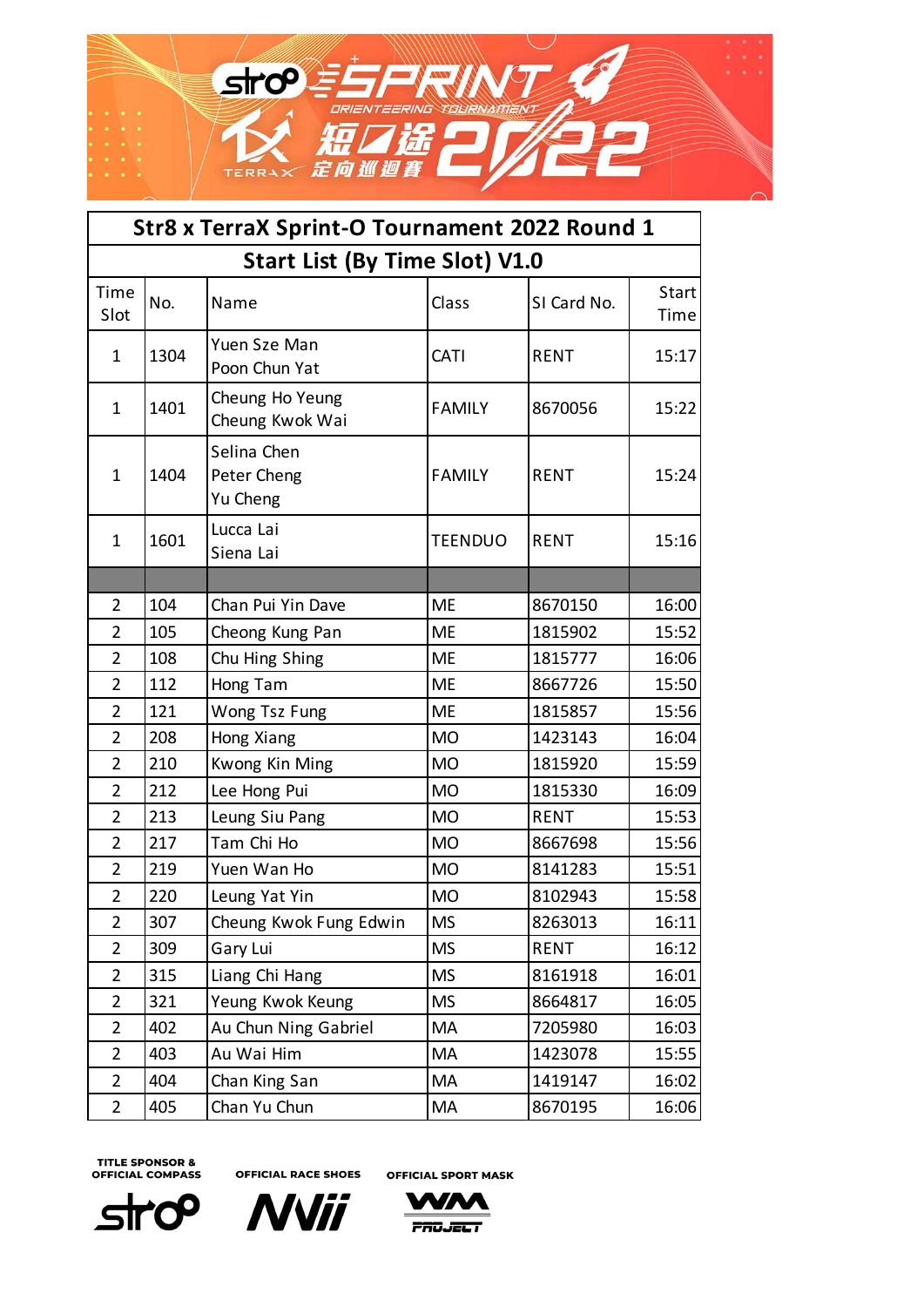

| Str8 x TerraX Sprint-O Tournament 2022 Round 1 |                                       |                                        |                |             |               |  |  |
|------------------------------------------------|---------------------------------------|----------------------------------------|----------------|-------------|---------------|--|--|
|                                                | <b>Start List (By Time Slot) V1.0</b> |                                        |                |             |               |  |  |
| Time<br>Slot                                   | No.                                   | Name                                   | Class          | SI Card No. | Start<br>Time |  |  |
| $\mathbf{1}$                                   | 1304                                  | Yuen Sze Man<br>Poon Chun Yat          | CATI           | <b>RENT</b> | 15:17         |  |  |
| $\mathbf{1}$                                   | 1401                                  | Cheung Ho Yeung<br>Cheung Kwok Wai     | <b>FAMILY</b>  | 8670056     | 15:22         |  |  |
| $\mathbf{1}$                                   | 1404                                  | Selina Chen<br>Peter Cheng<br>Yu Cheng | <b>FAMILY</b>  | <b>RENT</b> | 15:24         |  |  |
| $\mathbf{1}$                                   | 1601                                  | Lucca Lai<br>Siena Lai                 | <b>TEENDUO</b> | <b>RENT</b> | 15:16         |  |  |
|                                                |                                       |                                        |                |             |               |  |  |
| $\overline{2}$                                 | 104                                   | Chan Pui Yin Dave                      | <b>ME</b>      | 8670150     | 16:00         |  |  |
| $\overline{2}$                                 | 105                                   | Cheong Kung Pan                        | ME             | 1815902     | 15:52         |  |  |
| $\overline{2}$                                 | 108                                   | Chu Hing Shing                         | <b>ME</b>      | 1815777     | 16:06         |  |  |
| $\overline{2}$                                 | 112                                   | Hong Tam                               | <b>ME</b>      | 8667726     | 15:50         |  |  |
| $\overline{2}$                                 | 121                                   | Wong Tsz Fung                          | <b>ME</b>      | 1815857     | 15:56         |  |  |
| $\overline{2}$                                 | 208                                   | Hong Xiang                             | <b>MO</b>      | 1423143     | 16:04         |  |  |
| $\overline{2}$                                 | 210                                   | Kwong Kin Ming                         | <b>MO</b>      | 1815920     | 15:59         |  |  |
| $\overline{2}$                                 | 212                                   | Lee Hong Pui                           | <b>MO</b>      | 1815330     | 16:09         |  |  |
| $\overline{2}$                                 | 213                                   | Leung Siu Pang                         | <b>MO</b>      | <b>RENT</b> | 15:53         |  |  |
| $\overline{2}$                                 | 217                                   | Tam Chi Ho                             | <b>MO</b>      | 8667698     | 15:56         |  |  |
| $\overline{2}$                                 | 219                                   | Yuen Wan Ho                            | <b>MO</b>      | 8141283     | 15:51         |  |  |
| $\overline{2}$                                 | 220                                   | Leung Yat Yin                          | <b>MO</b>      | 8102943     | 15:58         |  |  |
| $\overline{2}$                                 | 307                                   | Cheung Kwok Fung Edwin                 | <b>MS</b>      | 8263013     | 16:11         |  |  |
| $\overline{2}$                                 | 309                                   | Gary Lui                               | <b>MS</b>      | <b>RENT</b> | 16:12         |  |  |
| $\overline{2}$                                 | 315                                   | Liang Chi Hang                         | <b>MS</b>      | 8161918     | 16:01         |  |  |
| $\overline{2}$                                 | 321                                   | Yeung Kwok Keung                       | <b>MS</b>      | 8664817     | 16:05         |  |  |
| $\overline{2}$                                 | 402                                   | Au Chun Ning Gabriel                   | MA             | 7205980     | 16:03         |  |  |
| $\overline{2}$                                 | 403                                   | Au Wai Him                             | MA             | 1423078     | 15:55         |  |  |
| $\overline{2}$                                 | 404                                   | Chan King San                          | MA             | 1419147     | 16:02         |  |  |
| $\overline{2}$                                 | 405                                   | Chan Yu Chun                           | MA             | 8670195     | 16:06         |  |  |





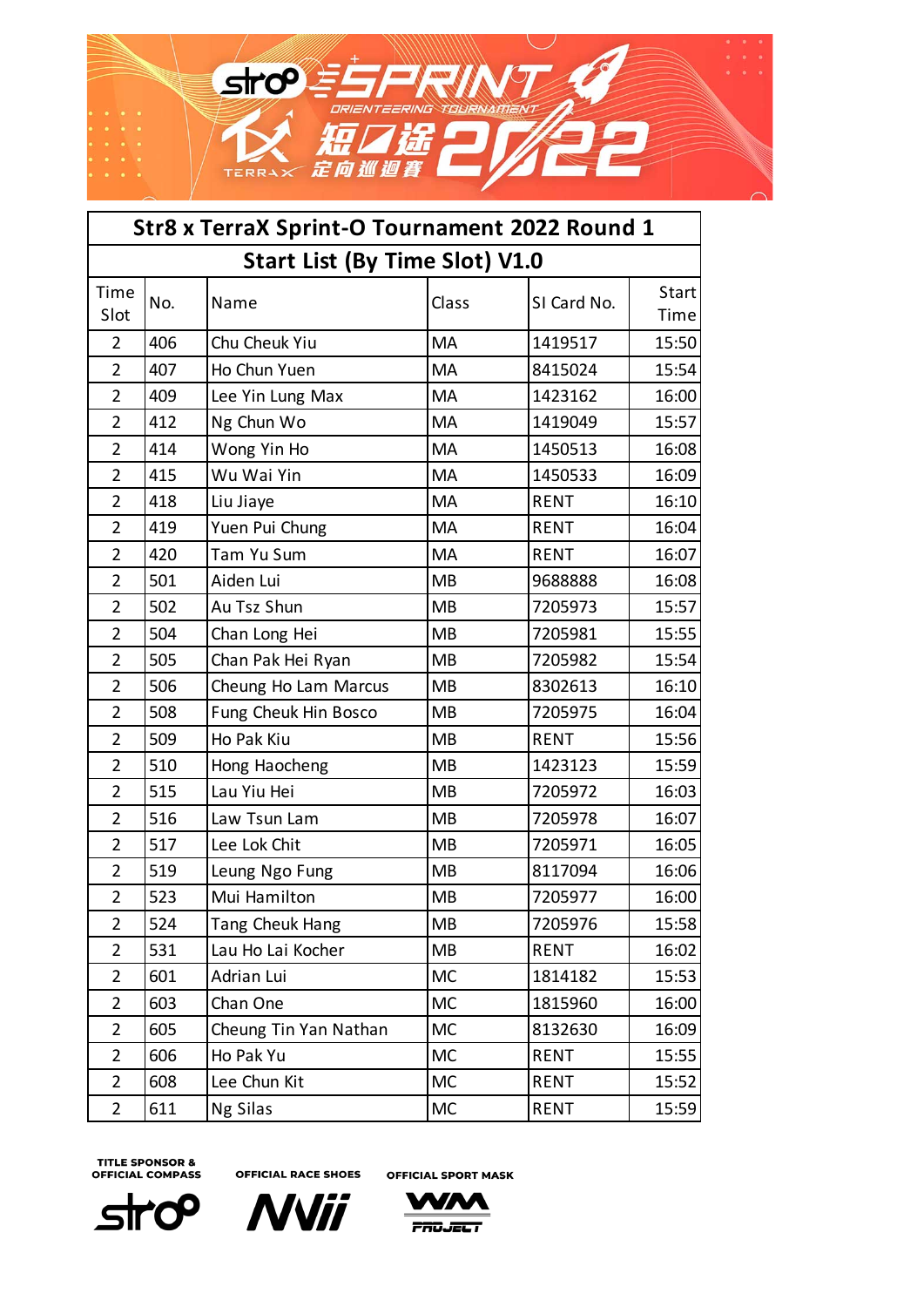

| Str8 x TerraX Sprint-O Tournament 2022 Round 1 |                                       |                        |           |             |               |  |  |
|------------------------------------------------|---------------------------------------|------------------------|-----------|-------------|---------------|--|--|
|                                                | <b>Start List (By Time Slot) V1.0</b> |                        |           |             |               |  |  |
| Time<br>Slot                                   | No.                                   | Name                   | Class     | SI Card No. | Start<br>Time |  |  |
| $\overline{2}$                                 | 406                                   | Chu Cheuk Yiu          | MA        | 1419517     | 15:50         |  |  |
| $\overline{2}$                                 | 407                                   | Ho Chun Yuen           | <b>MA</b> | 8415024     | 15:54         |  |  |
| $\overline{2}$                                 | 409                                   | Lee Yin Lung Max       | MA        | 1423162     | 16:00         |  |  |
| $\overline{2}$                                 | 412                                   | Ng Chun Wo             | MA        | 1419049     | 15:57         |  |  |
| $\overline{2}$                                 | 414                                   | Wong Yin Ho            | MA        | 1450513     | 16:08         |  |  |
| $\overline{2}$                                 | 415                                   | Wu Wai Yin             | MA        | 1450533     | 16:09         |  |  |
| $\overline{2}$                                 | 418                                   | Liu Jiaye              | MA        | <b>RENT</b> | 16:10         |  |  |
| $\overline{2}$                                 | 419                                   | Yuen Pui Chung         | MA        | <b>RENT</b> | 16:04         |  |  |
| $\overline{2}$                                 | 420                                   | Tam Yu Sum             | MA        | <b>RENT</b> | 16:07         |  |  |
| $\overline{2}$                                 | 501                                   | Aiden Lui              | <b>MB</b> | 9688888     | 16:08         |  |  |
| $\overline{2}$                                 | 502                                   | Au Tsz Shun            | <b>MB</b> | 7205973     | 15:57         |  |  |
| $\overline{2}$                                 | 504                                   | Chan Long Hei          | <b>MB</b> | 7205981     | 15:55         |  |  |
| $\overline{2}$                                 | 505                                   | Chan Pak Hei Ryan      | <b>MB</b> | 7205982     | 15:54         |  |  |
| $\overline{2}$                                 | 506                                   | Cheung Ho Lam Marcus   | <b>MB</b> | 8302613     | 16:10         |  |  |
| $\overline{2}$                                 | 508                                   | Fung Cheuk Hin Bosco   | <b>MB</b> | 7205975     | 16:04         |  |  |
| $\overline{2}$                                 | 509                                   | Ho Pak Kiu             | <b>MB</b> | <b>RENT</b> | 15:56         |  |  |
| $\overline{2}$                                 | 510                                   | Hong Haocheng          | <b>MB</b> | 1423123     | 15:59         |  |  |
| $\overline{2}$                                 | 515                                   | Lau Yiu Hei            | <b>MB</b> | 7205972     | 16:03         |  |  |
| $\overline{2}$                                 | 516                                   | Law Tsun Lam           | <b>MB</b> | 7205978     | 16:07         |  |  |
| $\overline{2}$                                 | 517                                   | Lee Lok Chit           | <b>MB</b> | 7205971     | 16:05         |  |  |
| $\overline{2}$                                 | 519                                   | Leung Ngo Fung         | <b>MB</b> | 8117094     | 16:06         |  |  |
| $\overline{2}$                                 | 523                                   | Mui Hamilton           | <b>MB</b> | 7205977     | 16:00         |  |  |
| 2                                              | 524                                   | <b>Tang Cheuk Hang</b> | MB        | 7205976     | 15:58         |  |  |
| $\overline{2}$                                 | 531                                   | Lau Ho Lai Kocher      | <b>MB</b> | <b>RENT</b> | 16:02         |  |  |
| $\overline{2}$                                 | 601                                   | Adrian Lui             | <b>MC</b> | 1814182     | 15:53         |  |  |
| $\overline{2}$                                 | 603                                   | Chan One               | <b>MC</b> | 1815960     | 16:00         |  |  |
| $\overline{2}$                                 | 605                                   | Cheung Tin Yan Nathan  | MC        | 8132630     | 16:09         |  |  |
| $\overline{2}$                                 | 606                                   | Ho Pak Yu              | <b>MC</b> | <b>RENT</b> | 15:55         |  |  |
| $\overline{2}$                                 | 608                                   | Lee Chun Kit           | <b>MC</b> | <b>RENT</b> | 15:52         |  |  |
| $\overline{2}$                                 | 611                                   | Ng Silas               | <b>MC</b> | <b>RENT</b> | 15:59         |  |  |





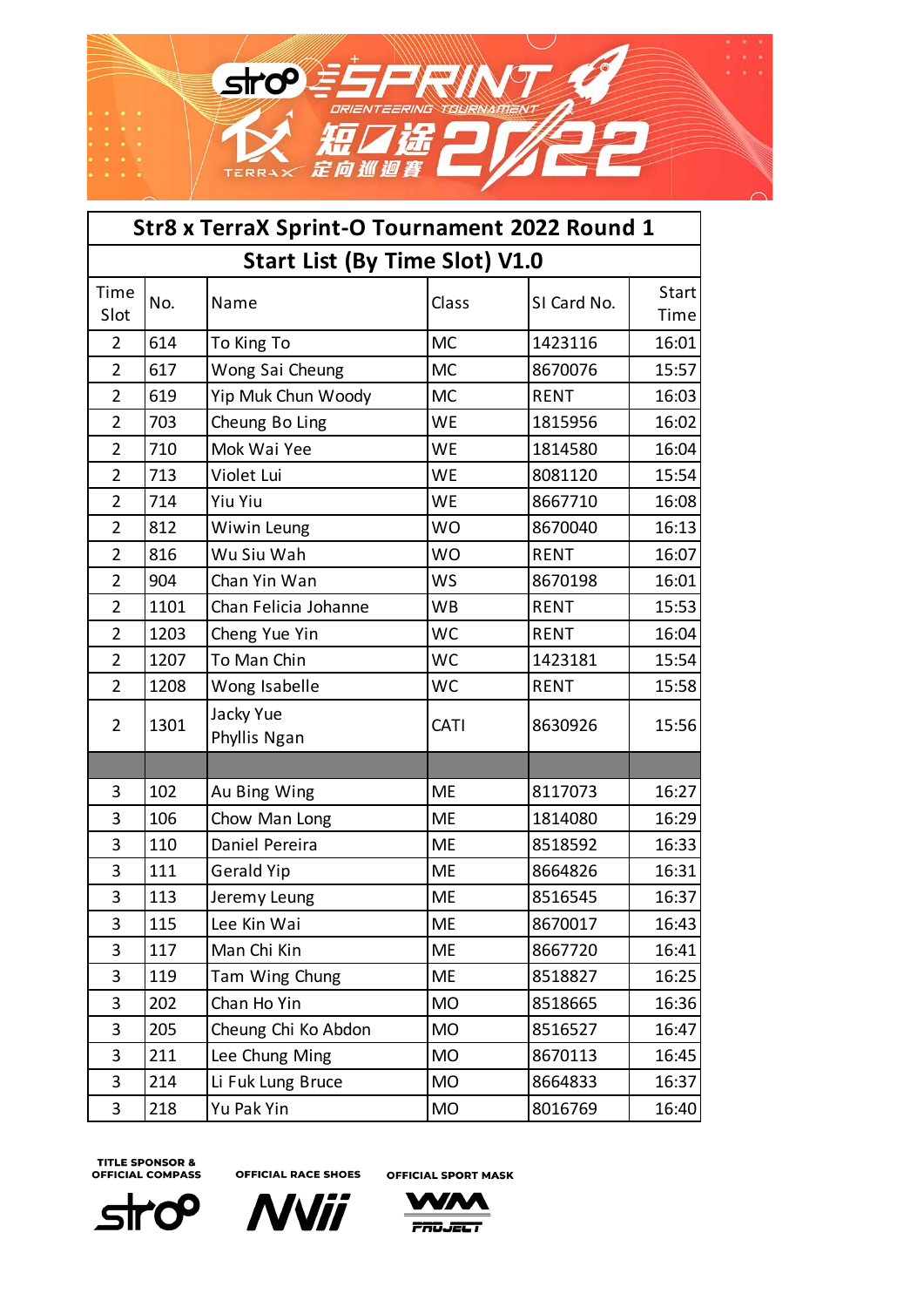

| Str8 x TerraX Sprint-O Tournament 2022 Round 1 |                                       |                           |             |             |               |  |  |
|------------------------------------------------|---------------------------------------|---------------------------|-------------|-------------|---------------|--|--|
|                                                | <b>Start List (By Time Slot) V1.0</b> |                           |             |             |               |  |  |
| Time<br>Slot                                   | No.                                   | Name                      | Class       | SI Card No. | Start<br>Time |  |  |
| $\overline{2}$                                 | 614                                   | To King To                | <b>MC</b>   | 1423116     | 16:01         |  |  |
| $\overline{2}$                                 | 617                                   | Wong Sai Cheung           | <b>MC</b>   | 8670076     | 15:57         |  |  |
| $\overline{2}$                                 | 619                                   | Yip Muk Chun Woody        | <b>MC</b>   | <b>RENT</b> | 16:03         |  |  |
| $\overline{2}$                                 | 703                                   | Cheung Bo Ling            | <b>WE</b>   | 1815956     | 16:02         |  |  |
| $\overline{2}$                                 | 710                                   | Mok Wai Yee               | <b>WE</b>   | 1814580     | 16:04         |  |  |
| $\overline{2}$                                 | 713                                   | Violet Lui                | WE          | 8081120     | 15:54         |  |  |
| $\overline{2}$                                 | 714                                   | <b>Yiu Yiu</b>            | <b>WE</b>   | 8667710     | 16:08         |  |  |
| $\overline{2}$                                 | 812                                   | Wiwin Leung               | <b>WO</b>   | 8670040     | 16:13         |  |  |
| $\overline{2}$                                 | 816                                   | Wu Siu Wah                | <b>WO</b>   | <b>RENT</b> | 16:07         |  |  |
| $\overline{2}$                                 | 904                                   | Chan Yin Wan              | <b>WS</b>   | 8670198     | 16:01         |  |  |
| $\overline{2}$                                 | 1101                                  | Chan Felicia Johanne      | <b>WB</b>   | <b>RENT</b> | 15:53         |  |  |
| $\overline{2}$                                 | 1203                                  | Cheng Yue Yin             | <b>WC</b>   | <b>RENT</b> | 16:04         |  |  |
| $\overline{2}$                                 | 1207                                  | To Man Chin               | <b>WC</b>   | 1423181     | 15:54         |  |  |
| $\overline{2}$                                 | 1208                                  | Wong Isabelle             | <b>WC</b>   | <b>RENT</b> | 15:58         |  |  |
| $\overline{2}$                                 | 1301                                  | Jacky Yue<br>Phyllis Ngan | <b>CATI</b> | 8630926     | 15:56         |  |  |
|                                                |                                       |                           |             |             |               |  |  |
| 3                                              | 102                                   | Au Bing Wing              | <b>ME</b>   | 8117073     | 16:27         |  |  |
| 3                                              | 106                                   | Chow Man Long             | <b>ME</b>   | 1814080     | 16:29         |  |  |
| 3                                              | 110                                   | Daniel Pereira            | <b>ME</b>   | 8518592     | 16:33         |  |  |
| 3                                              | 111                                   | <b>Gerald Yip</b>         | <b>ME</b>   | 8664826     | 16:31         |  |  |
| 3                                              | 113                                   | Jeremy Leung              | <b>ME</b>   | 8516545     | 16:37         |  |  |
| 3                                              | 115                                   | Lee Kin Wai               | <b>ME</b>   | 8670017     | 16:43         |  |  |
| 3                                              | 117                                   | Man Chi Kin               | <b>ME</b>   | 8667720     | 16:41         |  |  |
| 3                                              | 119                                   | Tam Wing Chung            | <b>ME</b>   | 8518827     | 16:25         |  |  |
| 3                                              | 202                                   | Chan Ho Yin               | <b>MO</b>   | 8518665     | 16:36         |  |  |
| 3                                              | 205                                   | Cheung Chi Ko Abdon       | <b>MO</b>   | 8516527     | 16:47         |  |  |
| 3                                              | 211                                   | Lee Chung Ming            | <b>MO</b>   | 8670113     | 16:45         |  |  |
| 3                                              | 214                                   | Li Fuk Lung Bruce         | <b>MO</b>   | 8664833     | 16:37         |  |  |
| 3                                              | 218                                   | Yu Pak Yin                | <b>MO</b>   | 8016769     | 16:40         |  |  |

**OFFICIAL RACE SHOES OFFICIAL SPORT MASK** 

ʹϙϿ **Str** 



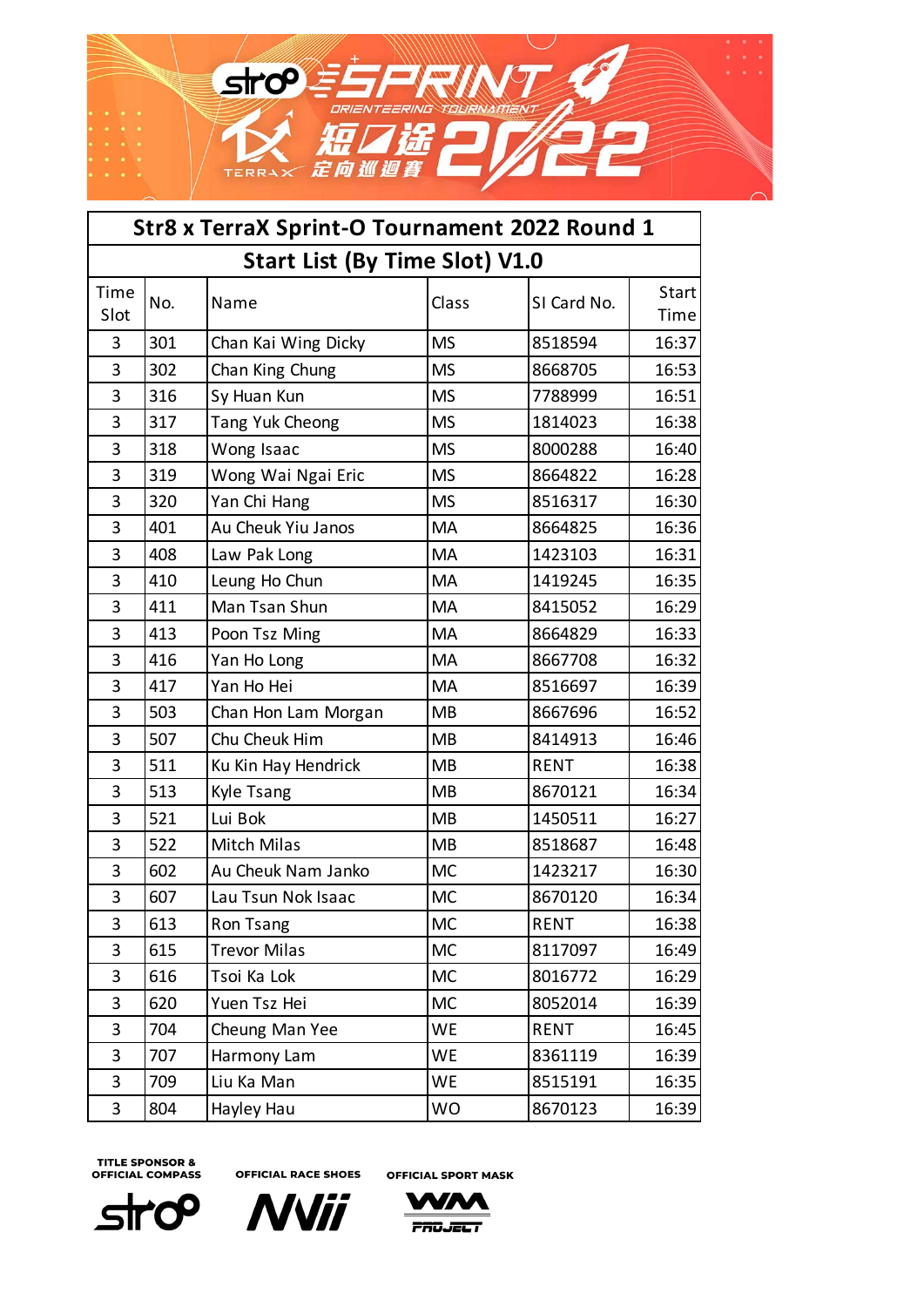

| Str8 x TerraX Sprint-O Tournament 2022 Round 1 |                                       |                     |           |             |               |  |  |
|------------------------------------------------|---------------------------------------|---------------------|-----------|-------------|---------------|--|--|
|                                                | <b>Start List (By Time Slot) V1.0</b> |                     |           |             |               |  |  |
| Time<br>Slot                                   | No.                                   | Name                | Class     | SI Card No. | Start<br>Time |  |  |
| 3                                              | 301                                   | Chan Kai Wing Dicky | <b>MS</b> | 8518594     | 16:37         |  |  |
| 3                                              | 302                                   | Chan King Chung     | <b>MS</b> | 8668705     | 16:53         |  |  |
| 3                                              | 316                                   | Sy Huan Kun         | <b>MS</b> | 7788999     | 16:51         |  |  |
| 3                                              | 317                                   | Tang Yuk Cheong     | <b>MS</b> | 1814023     | 16:38         |  |  |
| 3                                              | 318                                   | Wong Isaac          | <b>MS</b> | 8000288     | 16:40         |  |  |
| 3                                              | 319                                   | Wong Wai Ngai Eric  | <b>MS</b> | 8664822     | 16:28         |  |  |
| 3                                              | 320                                   | Yan Chi Hang        | <b>MS</b> | 8516317     | 16:30         |  |  |
| 3                                              | 401                                   | Au Cheuk Yiu Janos  | MA        | 8664825     | 16:36         |  |  |
| 3                                              | 408                                   | Law Pak Long        | MA        | 1423103     | 16:31         |  |  |
| 3                                              | 410                                   | Leung Ho Chun       | MA        | 1419245     | 16:35         |  |  |
| 3                                              | 411                                   | Man Tsan Shun       | <b>MA</b> | 8415052     | 16:29         |  |  |
| 3                                              | 413                                   | Poon Tsz Ming       | <b>MA</b> | 8664829     | 16:33         |  |  |
| 3                                              | 416                                   | Yan Ho Long         | MA        | 8667708     | 16:32         |  |  |
| 3                                              | 417                                   | Yan Ho Hei          | MA        | 8516697     | 16:39         |  |  |
| 3                                              | 503                                   | Chan Hon Lam Morgan | <b>MB</b> | 8667696     | 16:52         |  |  |
| 3                                              | 507                                   | Chu Cheuk Him       | <b>MB</b> | 8414913     | 16:46         |  |  |
| 3                                              | 511                                   | Ku Kin Hay Hendrick | <b>MB</b> | <b>RENT</b> | 16:38         |  |  |
| 3                                              | 513                                   | Kyle Tsang          | <b>MB</b> | 8670121     | 16:34         |  |  |
| 3                                              | 521                                   | Lui Bok             | <b>MB</b> | 1450511     | 16:27         |  |  |
| 3                                              | 522                                   | <b>Mitch Milas</b>  | <b>MB</b> | 8518687     | 16:48         |  |  |
| 3                                              | 602                                   | Au Cheuk Nam Janko  | <b>MC</b> | 1423217     | 16:30         |  |  |
| 3                                              | 607                                   | Lau Tsun Nok Isaac  | <b>MC</b> | 8670120     | 16:34         |  |  |
| 3                                              | 613                                   | Ron Tsang           | <b>MC</b> | <b>RENT</b> | 16:38         |  |  |
| 3                                              | 615                                   | <b>Trevor Milas</b> | <b>MC</b> | 8117097     | 16:49         |  |  |
| 3                                              | 616                                   | Tsoi Ka Lok         | <b>MC</b> | 8016772     | 16:29         |  |  |
| 3                                              | 620                                   | Yuen Tsz Hei        | <b>MC</b> | 8052014     | 16:39         |  |  |
| 3                                              | 704                                   | Cheung Man Yee      | WE        | <b>RENT</b> | 16:45         |  |  |
| 3                                              | 707                                   | Harmony Lam         | <b>WE</b> | 8361119     | 16:39         |  |  |
| 3                                              | 709                                   | Liu Ka Man          | WE        | 8515191     | 16:35         |  |  |
| 3                                              | 804                                   | Hayley Hau          | <b>WO</b> | 8670123     | 16:39         |  |  |





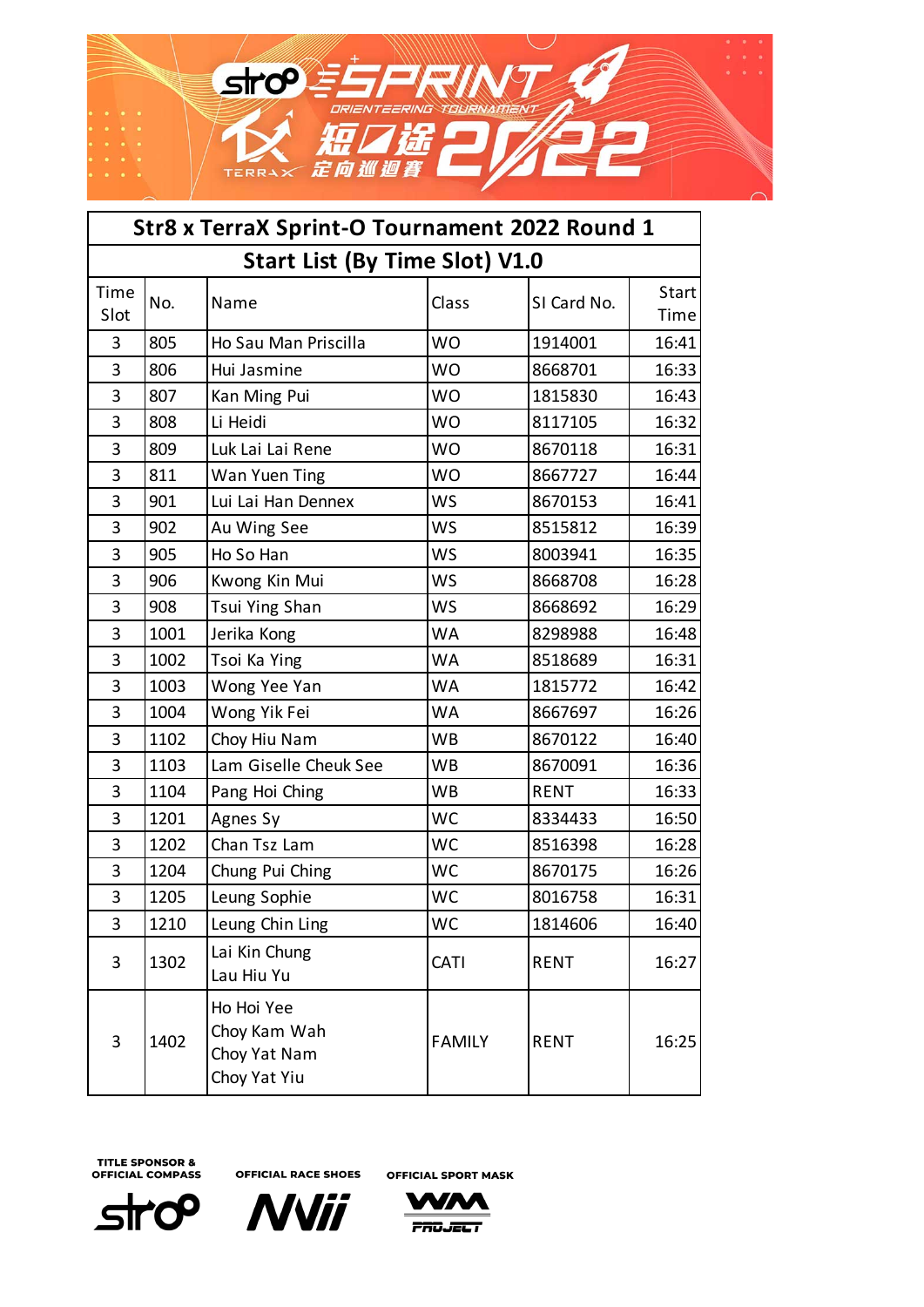

| Str8 x TerraX Sprint-O Tournament 2022 Round 1 |                                       |                                                            |               |             |               |  |  |
|------------------------------------------------|---------------------------------------|------------------------------------------------------------|---------------|-------------|---------------|--|--|
|                                                | <b>Start List (By Time Slot) V1.0</b> |                                                            |               |             |               |  |  |
| Time<br>Slot                                   | No.                                   | Name                                                       | Class         | SI Card No. | Start<br>Time |  |  |
| 3                                              | 805                                   | Ho Sau Man Priscilla                                       | <b>WO</b>     | 1914001     | 16:41         |  |  |
| 3                                              | 806                                   | Hui Jasmine                                                | <b>WO</b>     | 8668701     | 16:33         |  |  |
| 3                                              | 807                                   | Kan Ming Pui                                               | <b>WO</b>     | 1815830     | 16:43         |  |  |
| 3                                              | 808                                   | Li Heidi                                                   | <b>WO</b>     | 8117105     | 16:32         |  |  |
| 3                                              | 809                                   | Luk Lai Lai Rene                                           | <b>WO</b>     | 8670118     | 16:31         |  |  |
| 3                                              | 811                                   | Wan Yuen Ting                                              | <b>WO</b>     | 8667727     | 16:44         |  |  |
| 3                                              | 901                                   | Lui Lai Han Dennex                                         | <b>WS</b>     | 8670153     | 16:41         |  |  |
| 3                                              | 902                                   | Au Wing See                                                | <b>WS</b>     | 8515812     | 16:39         |  |  |
| 3                                              | 905                                   | Ho So Han                                                  | <b>WS</b>     | 8003941     | 16:35         |  |  |
| 3                                              | 906                                   | Kwong Kin Mui                                              | <b>WS</b>     | 8668708     | 16:28         |  |  |
| 3                                              | 908                                   | Tsui Ying Shan                                             | <b>WS</b>     | 8668692     | 16:29         |  |  |
| 3                                              | 1001                                  | Jerika Kong                                                | <b>WA</b>     | 8298988     | 16:48         |  |  |
| 3                                              | 1002                                  | Tsoi Ka Ying                                               | <b>WA</b>     | 8518689     | 16:31         |  |  |
| 3                                              | 1003                                  | Wong Yee Yan                                               | <b>WA</b>     | 1815772     | 16:42         |  |  |
| 3                                              | 1004                                  | Wong Yik Fei                                               | <b>WA</b>     | 8667697     | 16:26         |  |  |
| 3                                              | 1102                                  | Choy Hiu Nam                                               | <b>WB</b>     | 8670122     | 16:40         |  |  |
| 3                                              | 1103                                  | Lam Giselle Cheuk See                                      | <b>WB</b>     | 8670091     | 16:36         |  |  |
| 3                                              | 1104                                  | Pang Hoi Ching                                             | <b>WB</b>     | <b>RENT</b> | 16:33         |  |  |
| 3                                              | 1201                                  | Agnes Sy                                                   | <b>WC</b>     | 8334433     | 16:50         |  |  |
| 3                                              | 1202                                  | Chan Tsz Lam                                               | <b>WC</b>     | 8516398     | 16:28         |  |  |
| 3                                              | 1204                                  | Chung Pui Ching                                            | <b>WC</b>     | 8670175     | 16:26         |  |  |
| 3                                              | 1205                                  | Leung Sophie                                               | <b>WC</b>     | 8016758     | 16:31         |  |  |
| 3                                              | 1210                                  | Leung Chin Ling                                            | <b>WC</b>     | 1814606     | 16:40         |  |  |
| 3                                              | 1302                                  | Lai Kin Chung<br>Lau Hiu Yu                                | CATI          | <b>RENT</b> | 16:27         |  |  |
| 3                                              | 1402                                  | Ho Hoi Yee<br>Choy Kam Wah<br>Choy Yat Nam<br>Choy Yat Yiu | <b>FAMILY</b> | <b>RENT</b> | 16:25         |  |  |

**OFFICIAL RACE SHOES OFFICIAL SPORT MASK** 

ำ **Str**